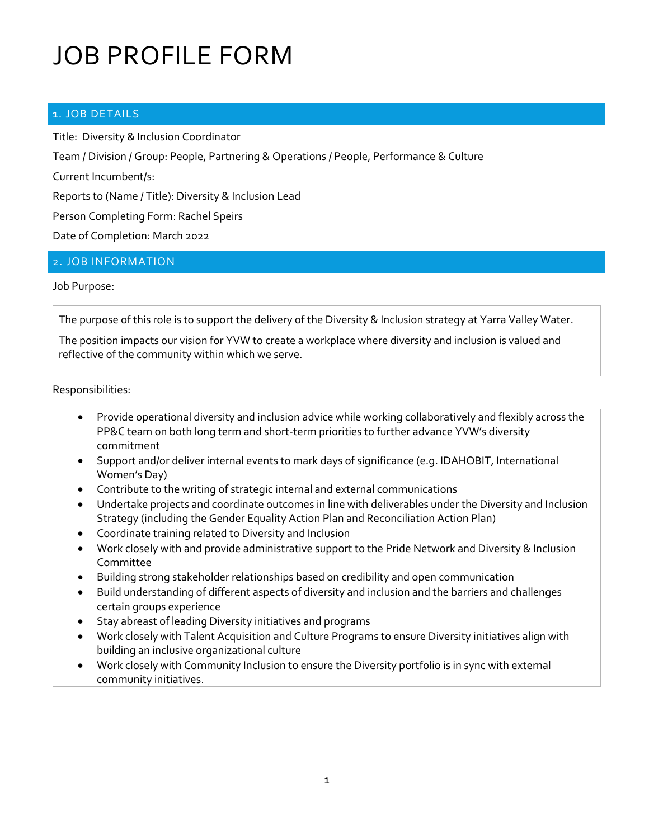# JOB PROFILE FORM

### 1. JOB DETAILS

Title: Diversity & Inclusion Coordinator

Team / Division / Group: People, Partnering & Operations / People, Performance & Culture

Current Incumbent/s:

Reports to (Name / Title): Diversity & Inclusion Lead

Person Completing Form: Rachel Speirs

Date of Completion: March 2022

### 2. JOB INFORMATION

#### Job Purpose:

The purpose of this role is to support the delivery of the Diversity & Inclusion strategy at Yarra Valley Water.

The position impacts our vision for YVW to create a workplace where diversity and inclusion is valued and reflective of the community within which we serve.

#### Responsibilities:

- Provide operational diversity and inclusion advice while working collaboratively and flexibly across the PP&C team on both long term and short-term priorities to further advance YVW's diversity commitment
- Support and/or deliver internal events to mark days of significance (e.g. IDAHOBIT, International Women's Day)
- Contribute to the writing of strategic internal and external communications
- Undertake projects and coordinate outcomes in line with deliverables under the Diversity and Inclusion Strategy (including the Gender Equality Action Plan and Reconciliation Action Plan)
- Coordinate training related to Diversity and Inclusion
- Work closely with and provide administrative support to the Pride Network and Diversity & Inclusion Committee
- Building strong stakeholder relationships based on credibility and open communication
- Build understanding of different aspects of diversity and inclusion and the barriers and challenges certain groups experience
- Stay abreast of leading Diversity initiatives and programs
- Work closely with Talent Acquisition and Culture Programs to ensure Diversity initiatives align with building an inclusive organizational culture
- Work closely with Community Inclusion to ensure the Diversity portfolio is in sync with external community initiatives.